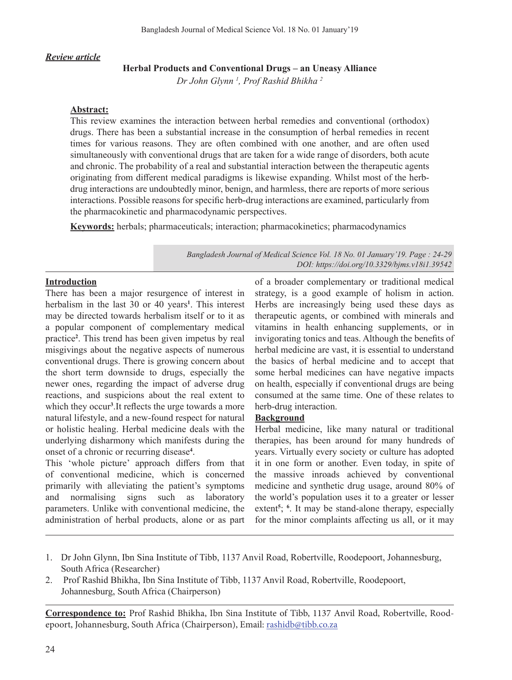#### *Review article*

#### **Herbal Products and Conventional Drugs – an Uneasy Alliance**

*Dr John Glynn 1 , Prof Rashid Bhikha 2*

#### **Abstract:**

This review examines the interaction between herbal remedies and conventional (orthodox) drugs. There has been a substantial increase in the consumption of herbal remedies in recent times for various reasons. They are often combined with one another, and are often used simultaneously with conventional drugs that are taken for a wide range of disorders, both acute and chronic. The probability of a real and substantial interaction between the therapeutic agents originating from different medical paradigms is likewise expanding. Whilst most of the herbdrug interactions are undoubtedly minor, benign, and harmless, there are reports of more serious interactions. Possible reasons for specific herb-drug interactions are examined, particularly from the pharmacokinetic and pharmacodynamic perspectives.

**Keywords:** herbals; pharmaceuticals; interaction; pharmacokinetics; pharmacodynamics

*Bangladesh Journal of Medical Science Vol. 18 No. 01 January'19. Page : 24-29 DOI: https://doi.org/10.3329/bjms.v18i1.39542*

#### **Introduction**

There has been a major resurgence of interest in herbalism in the last 30 or 40 years**<sup>1</sup>** . This interest may be directed towards herbalism itself or to it as a popular component of complementary medical practice**<sup>2</sup>** . This trend has been given impetus by real misgivings about the negative aspects of numerous conventional drugs. There is growing concern about the short term downside to drugs, especially the newer ones, regarding the impact of adverse drug reactions, and suspicions about the real extent to which they occur**<sup>3</sup>** .It reflects the urge towards a more natural lifestyle, and a new-found respect for natural or holistic healing. Herbal medicine deals with the underlying disharmony which manifests during the onset of a chronic or recurring disease**<sup>4</sup>** .

This 'whole picture' approach differs from that of conventional medicine, which is concerned primarily with alleviating the patient's symptoms and normalising signs such as laboratory parameters. Unlike with conventional medicine, the administration of herbal products, alone or as part

of a broader complementary or traditional medical strategy, is a good example of holism in action. Herbs are increasingly being used these days as therapeutic agents, or combined with minerals and vitamins in health enhancing supplements, or in invigorating tonics and teas. Although the benefits of herbal medicine are vast, it is essential to understand the basics of herbal medicine and to accept that some herbal medicines can have negative impacts on health, especially if conventional drugs are being consumed at the same time. One of these relates to herb-drug interaction.

#### **Background**

Herbal medicine, like many natural or traditional therapies, has been around for many hundreds of years. Virtually every society or culture has adopted it in one form or another. Even today, in spite of the massive inroads achieved by conventional medicine and synthetic drug usage, around 80% of the world's population uses it to a greater or lesser extent<sup>5</sup>; <sup>6</sup>. It may be stand-alone therapy, especially for the minor complaints affecting us all, or it may

- 1. Dr John Glynn, Ibn Sina Institute of Tibb, 1137 Anvil Road, Robertville, Roodepoort, Johannesburg, South Africa (Researcher)
- 2. Prof Rashid Bhikha, Ibn Sina Institute of Tibb, 1137 Anvil Road, Robertville, Roodepoort, Johannesburg, South Africa (Chairperson)

**Correspondence to:** Prof Rashid Bhikha, Ibn Sina Institute of Tibb, 1137 Anvil Road, Robertville, Roodepoort, Johannesburg, South Africa (Chairperson), Email: rashidb@tibb.co.za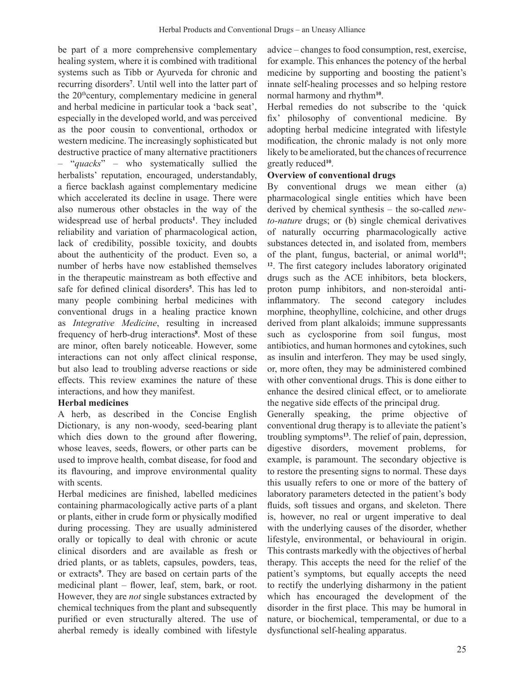be part of a more comprehensive complementary healing system, where it is combined with traditional systems such as Tibb or Ayurveda for chronic and recurring disorders**<sup>7</sup>** . Until well into the latter part of the  $20<sup>th</sup>$ century, complementary medicine in general and herbal medicine in particular took a 'back seat', especially in the developed world, and was perceived as the poor cousin to conventional, orthodox or western medicine. The increasingly sophisticated but destructive practice of many alternative practitioners – "*quacks*" – who systematically sullied the herbalists' reputation, encouraged, understandably, a fierce backlash against complementary medicine which accelerated its decline in usage. There were also numerous other obstacles in the way of the widespread use of herbal products**<sup>1</sup>** . They included reliability and variation of pharmacological action, lack of credibility, possible toxicity, and doubts about the authenticity of the product. Even so, a number of herbs have now established themselves in the therapeutic mainstream as both effective and safe for defined clinical disorders**<sup>5</sup>** . This has led to many people combining herbal medicines with conventional drugs in a healing practice known as *Integrative Medicine*, resulting in increased frequency of herb-drug interactions**<sup>8</sup>** . Most of these are minor, often barely noticeable. However, some interactions can not only affect clinical response, but also lead to troubling adverse reactions or side effects. This review examines the nature of these interactions, and how they manifest.

# **Herbal medicines**

A herb, as described in the Concise English Dictionary, is any non-woody, seed-bearing plant which dies down to the ground after flowering, whose leaves, seeds, flowers, or other parts can be used to improve health, combat disease, for food and its flavouring, and improve environmental quality with scents.

Herbal medicines are finished, labelled medicines containing pharmacologically active parts of a plant or plants, either in crude form or physically modified during processing. They are usually administered orally or topically to deal with chronic or acute clinical disorders and are available as fresh or dried plants, or as tablets, capsules, powders, teas, or extracts**<sup>9</sup>** . They are based on certain parts of the medicinal plant – flower, leaf, stem, bark, or root. However, they are *not* single substances extracted by chemical techniques from the plant and subsequently purified or even structurally altered. The use of aherbal remedy is ideally combined with lifestyle

advice – changes to food consumption, rest, exercise, for example. This enhances the potency of the herbal medicine by supporting and boosting the patient's innate self-healing processes and so helping restore normal harmony and rhythm**<sup>10</sup>**.

Herbal remedies do not subscribe to the 'quick fix' philosophy of conventional medicine. By adopting herbal medicine integrated with lifestyle modification, the chronic malady is not only more likely to be ameliorated, but the chances of recurrence greatly reduced**<sup>10</sup>**.

# **Overview of conventional drugs**

By conventional drugs we mean either (a) pharmacological single entities which have been derived by chemical synthesis – the so-called *newto-nature* drugs; or (b) single chemical derivatives of naturally occurring pharmacologically active substances detected in, and isolated from, members of the plant, fungus, bacterial, or animal world**<sup>11</sup>**; **<sup>12</sup>**. The first category includes laboratory originated drugs such as the ACE inhibitors, beta blockers, proton pump inhibitors, and non-steroidal antiinflammatory. The second category includes morphine, theophylline, colchicine, and other drugs derived from plant alkaloids; immune suppressants such as cyclosporine from soil fungus, most antibiotics, and human hormones and cytokines, such as insulin and interferon. They may be used singly, or, more often, they may be administered combined with other conventional drugs. This is done either to enhance the desired clinical effect, or to ameliorate the negative side effects of the principal drug.

Generally speaking, the prime objective of conventional drug therapy is to alleviate the patient's troubling symptoms**<sup>13</sup>**. The relief of pain, depression, digestive disorders, movement problems, for example, is paramount. The secondary objective is to restore the presenting signs to normal. These days this usually refers to one or more of the battery of laboratory parameters detected in the patient's body fluids, soft tissues and organs, and skeleton. There is, however, no real or urgent imperative to deal with the underlying causes of the disorder, whether lifestyle, environmental, or behavioural in origin. This contrasts markedly with the objectives of herbal therapy. This accepts the need for the relief of the patient's symptoms, but equally accepts the need to rectify the underlying disharmony in the patient which has encouraged the development of the disorder in the first place. This may be humoral in nature, or biochemical, temperamental, or due to a dysfunctional self-healing apparatus.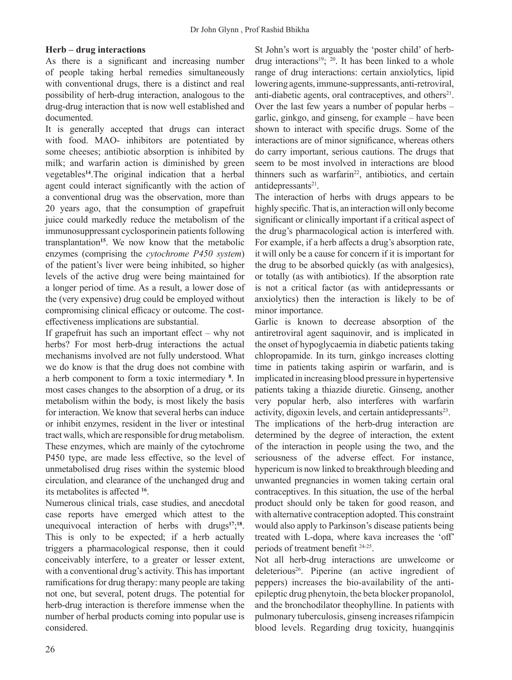# **Herb – drug interactions**

As there is a significant and increasing number of people taking herbal remedies simultaneously with conventional drugs, there is a distinct and real possibility of herb-drug interaction, analogous to the drug-drug interaction that is now well established and documented.

It is generally accepted that drugs can interact with food. MAO- inhibitors are potentiated by some cheeses; antibiotic absorption is inhibited by milk; and warfarin action is diminished by green vegetables**<sup>14</sup>**.The original indication that a herbal agent could interact significantly with the action of a conventional drug was the observation, more than 20 years ago, that the consumption of grapefruit juice could markedly reduce the metabolism of the immunosuppressant cyclosporinein patients following transplantation**<sup>15</sup>**. We now know that the metabolic enzymes (comprising the *cytochrome P450 system*) of the patient's liver were being inhibited, so higher levels of the active drug were being maintained for a longer period of time. As a result, a lower dose of the (very expensive) drug could be employed without compromising clinical efficacy or outcome. The costeffectiveness implications are substantial.

If grapefruit has such an important effect  $-$  why not herbs? For most herb-drug interactions the actual mechanisms involved are not fully understood. What we do know is that the drug does not combine with a herb component to form a toxic intermediary **<sup>8</sup>** . In most cases changes to the absorption of a drug, or its metabolism within the body, is most likely the basis for interaction. We know that several herbs can induce or inhibit enzymes, resident in the liver or intestinal tract walls, which are responsible for drug metabolism. These enzymes, which are mainly of the cytochrome P450 type, are made less effective, so the level of unmetabolised drug rises within the systemic blood circulation, and clearance of the unchanged drug and its metabolites is affected **<sup>16</sup>**.

Numerous clinical trials, case studies, and anecdotal case reports have emerged which attest to the unequivocal interaction of herbs with drugs**<sup>17</sup>**; **<sup>18</sup>**. This is only to be expected; if a herb actually triggers a pharmacological response, then it could conceivably interfere, to a greater or lesser extent, with a conventional drug's activity. This has important ramifications for drug therapy: many people are taking not one, but several, potent drugs. The potential for herb-drug interaction is therefore immense when the number of herbal products coming into popular use is considered.

St John's wort is arguably the 'poster child' of herbdrug interactions<sup>19</sup>;  $\frac{1}{20}$ . It has been linked to a whole range of drug interactions: certain anxiolytics, lipid lowering agents, immune-suppressants, anti-retroviral, anti-diabetic agents, oral contraceptives, and others $21$ . Over the last few years a number of popular herbs – garlic, ginkgo, and ginseng, for example – have been shown to interact with specific drugs. Some of the interactions are of minor significance, whereas others do carry important, serious cautions. The drugs that seem to be most involved in interactions are blood thinners such as warfarin<sup>22</sup>, antibiotics, and certain antidepressants<sup>21</sup>.

The interaction of herbs with drugs appears to be highly specific. That is, an interaction will only become significant or clinically important if a critical aspect of the drug's pharmacological action is interfered with. For example, if a herb affects a drug's absorption rate, it will only be a cause for concern if it is important for the drug to be absorbed quickly (as with analgesics), or totally (as with antibiotics). If the absorption rate is not a critical factor (as with antidepressants or anxiolytics) then the interaction is likely to be of minor importance.

Garlic is known to decrease absorption of the antiretroviral agent saquinovir, and is implicated in the onset of hypoglycaemia in diabetic patients taking chlopropamide. In its turn, ginkgo increases clotting time in patients taking aspirin or warfarin, and is implicated in increasing blood pressure in hypertensive patients taking a thiazide diuretic. Ginseng, another very popular herb, also interferes with warfarin activity, digoxin levels, and certain antidepressants $2<sup>3</sup>$ .

The implications of the herb-drug interaction are determined by the degree of interaction, the extent of the interaction in people using the two, and the seriousness of the adverse effect. For instance, hypericum is now linked to breakthrough bleeding and unwanted pregnancies in women taking certain oral contraceptives. In this situation, the use of the herbal product should only be taken for good reason, and with alternative contraception adopted. This constraint would also apply to Parkinson's disease patients being treated with L-dopa, where kava increases the 'off' periods of treatment benefit 24-25.

Not all herb-drug interactions are unwelcome or deleterious<sup>26</sup>. Piperine (an active ingredient of peppers) increases the bio-availability of the antiepileptic drug phenytoin, the beta blocker propanolol, and the bronchodilator theophylline. In patients with pulmonary tuberculosis, ginseng increases rifampicin blood levels. Regarding drug toxicity, huangqinis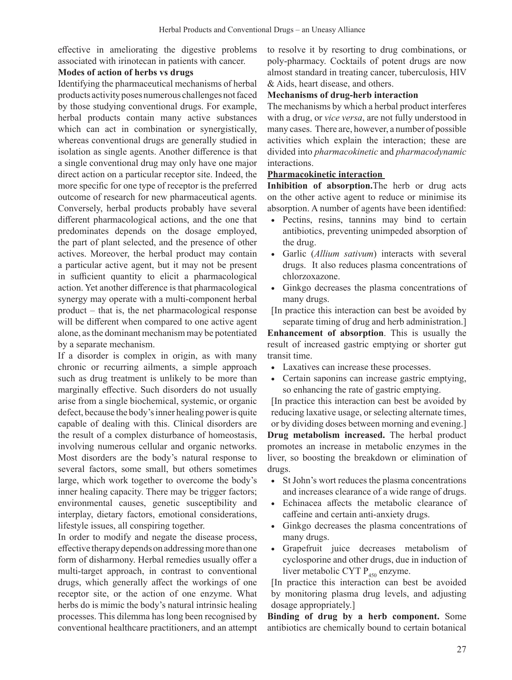effective in ameliorating the digestive problems associated with irinotecan in patients with cancer.

### **Modes of action of herbs vs drugs**

Identifying the pharmaceutical mechanisms of herbal products activity poses numerous challenges not faced by those studying conventional drugs. For example, herbal products contain many active substances which can act in combination or synergistically, whereas conventional drugs are generally studied in isolation as single agents. Another difference is that a single conventional drug may only have one major direct action on a particular receptor site. Indeed, the more specific for one type of receptor is the preferred outcome of research for new pharmaceutical agents. Conversely, herbal products probably have several different pharmacological actions, and the one that predominates depends on the dosage employed, the part of plant selected, and the presence of other actives. Moreover, the herbal product may contain a particular active agent, but it may not be present in sufficient quantity to elicit a pharmacological action. Yet another difference is that pharmacological synergy may operate with a multi-component herbal product – that is, the net pharmacological response will be different when compared to one active agent alone, asthe dominant mechanism may be potentiated by a separate mechanism.

If a disorder is complex in origin, as with many chronic or recurring ailments, a simple approach such as drug treatment is unlikely to be more than marginally effective. Such disorders do not usually arise from a single biochemical, systemic, or organic defect, because the body's inner healing power is quite capable of dealing with this. Clinical disorders are the result of a complex disturbance of homeostasis, involving numerous cellular and organic networks. Most disorders are the body's natural response to several factors, some small, but others sometimes large, which work together to overcome the body's inner healing capacity. There may be trigger factors; environmental causes, genetic susceptibility and interplay, dietary factors, emotional considerations, lifestyle issues, all conspiring together.

In order to modify and negate the disease process, effective therapy depends on addressing more than one form of disharmony. Herbal remedies usually offer a multi-target approach, in contrast to conventional drugs, which generally affect the workings of one receptor site, or the action of one enzyme. What herbs do is mimic the body's natural intrinsic healing processes. This dilemma has long been recognised by conventional healthcare practitioners, and an attempt

to resolve it by resorting to drug combinations, or poly-pharmacy. Cocktails of potent drugs are now almost standard in treating cancer, tuberculosis, HIV & Aids, heart disease, and others.

### **Mechanisms of drug-herb interaction**

The mechanisms by which a herbal product interferes with a drug, or *vice versa*, are not fully understood in many cases. There are, however, a number of possible activities which explain the interaction; these are divided into *pharmacokinetic* and *pharmacodynamic* interactions.

# **Pharmacokinetic interaction**

**Inhibition of absorption.**The herb or drug acts on the other active agent to reduce or minimise its absorption. A number of agents have been identified:

- • Pectins, resins, tannins may bind to certain antibiotics, preventing unimpeded absorption of the drug.
- Garlic (Allium sativum) interacts with several drugs. It also reduces plasma concentrations of chlorzoxazone.
- • Ginkgo decreases the plasma concentrations of many drugs.
- [In practice this interaction can best be avoided by separate timing of drug and herb administration.]

**Enhancement of absorption**. This is usually the result of increased gastric emptying or shorter gut transit time.

- • Laxatives can increase these processes.
- Certain saponins can increase gastric emptying, so enhancing the rate of gastric emptying.

[In practice this interaction can best be avoided by reducing laxative usage, or selecting alternate times, or by dividing doses between morning and evening.] **Drug metabolism increased.** The herbal product promotes an increase in metabolic enzymes in the liver, so boosting the breakdown or elimination of drugs.

- St John's wort reduces the plasma concentrations and increases clearance of a wide range of drugs.
- • Echinacea affects the metabolic clearance of caffeine and certain anti-anxiety drugs.
- Ginkgo decreases the plasma concentrations of many drugs.
- • Grapefruit juice decreases metabolism of cyclosporine and other drugs, due in induction of liver metabolic CYT  $P_{450}$  enzyme.

[In practice this interaction can best be avoided by monitoring plasma drug levels, and adjusting dosage appropriately.]

**Binding of drug by a herb component.** Some antibiotics are chemically bound to certain botanical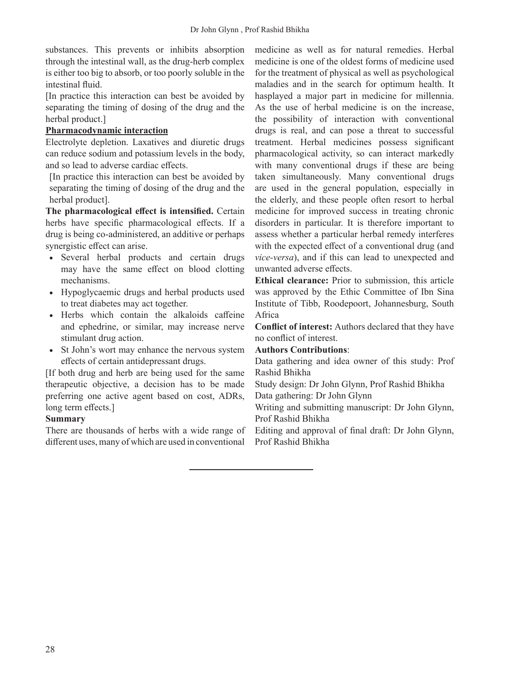substances. This prevents or inhibits absorption through the intestinal wall, as the drug-herb complex is either too big to absorb, or too poorly soluble in the intestinal fluid.

[In practice this interaction can best be avoided by separating the timing of dosing of the drug and the herbal product.]

# **Pharmacodynamic interaction**

Electrolyte depletion. Laxatives and diuretic drugs can reduce sodium and potassium levels in the body, and so lead to adverse cardiac effects.

[In practice this interaction can best be avoided by separating the timing of dosing of the drug and the herbal product].

**The pharmacological effect is intensified.** Certain herbs have specific pharmacological effects. If a drug is being co-administered, an additive or perhaps synergistic effect can arise.

- • Several herbal products and certain drugs may have the same effect on blood clotting mechanisms.
- • Hypoglycaemic drugs and herbal products used to treat diabetes may act together.
- • Herbs which contain the alkaloids caffeine and ephedrine, or similar, may increase nerve stimulant drug action.
- • St John's wort may enhance the nervous system effects of certain antidepressant drugs.

[If both drug and herb are being used for the same therapeutic objective, a decision has to be made preferring one active agent based on cost, ADRs, long term effects.]

### **Summary**

There are thousands of herbs with a wide range of different uses, many of which are used in conventional

medicine as well as for natural remedies. Herbal medicine is one of the oldest forms of medicine used for the treatment of physical as well as psychological maladies and in the search for optimum health. It hasplayed a major part in medicine for millennia. As the use of herbal medicine is on the increase, the possibility of interaction with conventional drugs is real, and can pose a threat to successful treatment. Herbal medicines possess significant pharmacological activity, so can interact markedly with many conventional drugs if these are being taken simultaneously. Many conventional drugs are used in the general population, especially in the elderly, and these people often resort to herbal medicine for improved success in treating chronic disorders in particular. It is therefore important to assess whether a particular herbal remedy interferes with the expected effect of a conventional drug (and *vice-versa*), and if this can lead to unexpected and unwanted adverse effects.

**Ethical clearance:** Prior to submission, this article was approved by the Ethic Committee of Ibn Sina Institute of Tibb, Roodepoort, Johannesburg, South Africa

**Conflict of interest:** Authors declared that they have no conflict of interest.

### **Authors Contributions**:

Data gathering and idea owner of this study: Prof Rashid Bhikha

Study design: Dr John Glynn, Prof Rashid Bhikha Data gathering: Dr John Glynn

Writing and submitting manuscript: Dr John Glynn, Prof Rashid Bhikha

Editing and approval of final draft: Dr John Glynn, Prof Rashid Bhikha